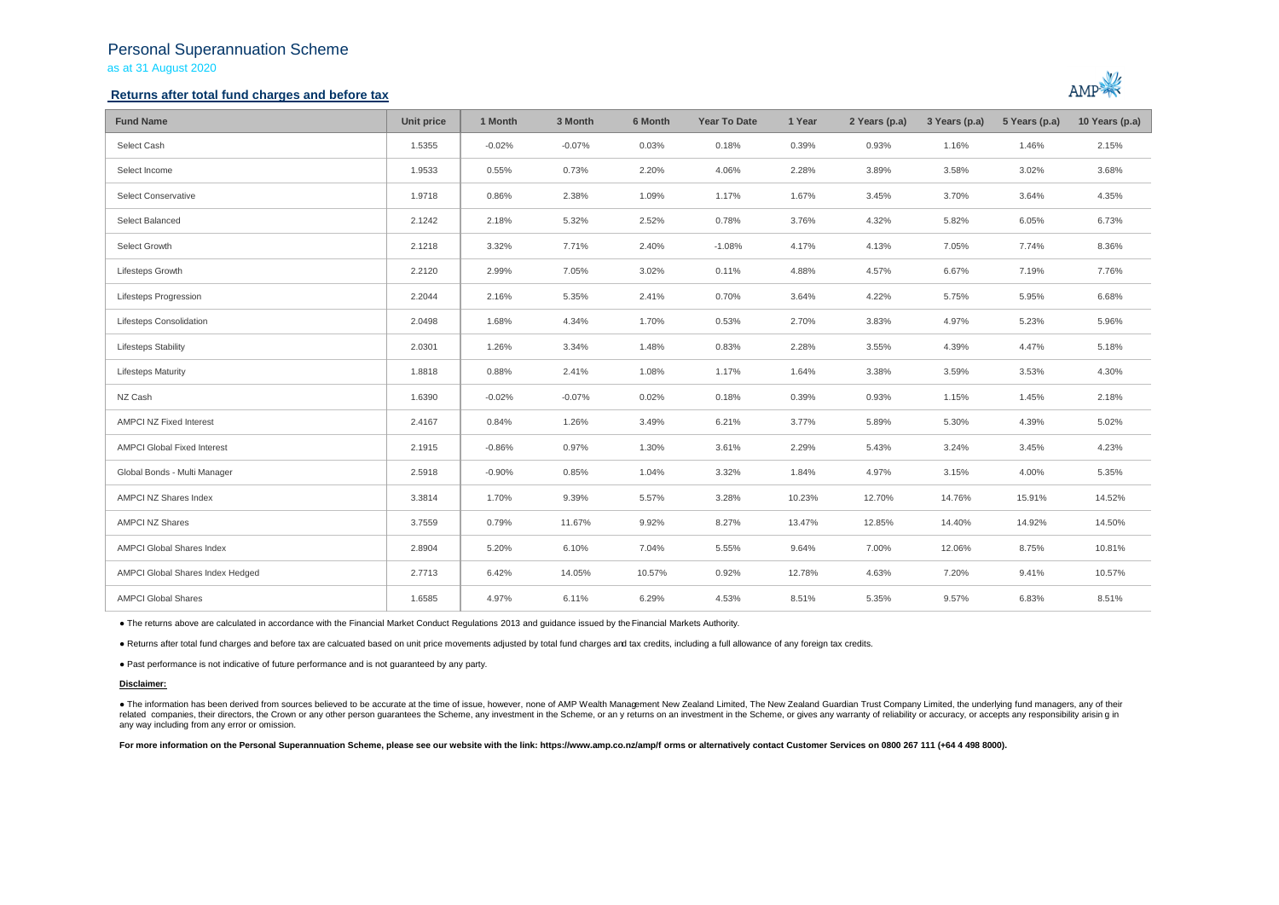## Personal Superannuation Scheme as at 31 August 2020

### **Returns after total fund charges and before tax**



| <b>Fund Name</b>                   | Unit price | 1 Month  | 3 Month  | 6 Month | <b>Year To Date</b> | 1 Year | 2 Years (p.a) | 3 Years (p.a) | 5 Years (p.a) | 10 Years (p.a) |
|------------------------------------|------------|----------|----------|---------|---------------------|--------|---------------|---------------|---------------|----------------|
| Select Cash                        | 1.5355     | $-0.02%$ | $-0.07%$ | 0.03%   | 0.18%               | 0.39%  | 0.93%         | 1.16%         | 1.46%         | 2.15%          |
| Select Income                      | 1.9533     | 0.55%    | 0.73%    | 2.20%   | 4.06%               | 2.28%  | 3.89%         | 3.58%         | 3.02%         | 3.68%          |
| Select Conservative                | 1.9718     | 0.86%    | 2.38%    | 1.09%   | 1.17%               | 1.67%  | 3.45%         | 3.70%         | 3.64%         | 4.35%          |
| Select Balanced                    | 2.1242     | 2.18%    | 5.32%    | 2.52%   | 0.78%               | 3.76%  | 4.32%         | 5.82%         | 6.05%         | 6.73%          |
| Select Growth                      | 2.1218     | 3.32%    | 7.71%    | 2.40%   | $-1.08%$            | 4.17%  | 4.13%         | 7.05%         | 7.74%         | 8.36%          |
| Lifesteps Growth                   | 2.2120     | 2.99%    | 7.05%    | 3.02%   | 0.11%               | 4.88%  | 4.57%         | 6.67%         | 7.19%         | 7.76%          |
| Lifesteps Progression              | 2.2044     | 2.16%    | 5.35%    | 2.41%   | 0.70%               | 3.64%  | 4.22%         | 5.75%         | 5.95%         | 6.68%          |
| Lifesteps Consolidation            | 2.0498     | 1.68%    | 4.34%    | 1.70%   | 0.53%               | 2.70%  | 3.83%         | 4.97%         | 5.23%         | 5.96%          |
| <b>Lifesteps Stability</b>         | 2.0301     | 1.26%    | 3.34%    | 1.48%   | 0.83%               | 2.28%  | 3.55%         | 4.39%         | 4.47%         | 5.18%          |
| <b>Lifesteps Maturity</b>          | 1.8818     | 0.88%    | 2.41%    | 1.08%   | 1.17%               | 1.64%  | 3.38%         | 3.59%         | 3.53%         | 4.30%          |
| NZ Cash                            | 1.6390     | $-0.02%$ | $-0.07%$ | 0.02%   | 0.18%               | 0.39%  | 0.93%         | 1.15%         | 1.45%         | 2.18%          |
| AMPCI NZ Fixed Interest            | 2.4167     | 0.84%    | 1.26%    | 3.49%   | 6.21%               | 3.77%  | 5.89%         | 5.30%         | 4.39%         | 5.02%          |
| <b>AMPCI Global Fixed Interest</b> | 2.1915     | $-0.86%$ | 0.97%    | 1.30%   | 3.61%               | 2.29%  | 5.43%         | 3.24%         | 3.45%         | 4.23%          |
| Global Bonds - Multi Manager       | 2.5918     | $-0.90%$ | 0.85%    | 1.04%   | 3.32%               | 1.84%  | 4.97%         | 3.15%         | 4.00%         | 5.35%          |
| AMPCI NZ Shares Index              | 3.3814     | 1.70%    | 9.39%    | 5.57%   | 3.28%               | 10.23% | 12.70%        | 14.76%        | 15.91%        | 14.52%         |
| <b>AMPCI NZ Shares</b>             | 3.7559     | 0.79%    | 11.67%   | 9.92%   | 8.27%               | 13.47% | 12.85%        | 14.40%        | 14.92%        | 14.50%         |
| AMPCI Global Shares Index          | 2.8904     | 5.20%    | 6.10%    | 7.04%   | 5.55%               | 9.64%  | 7.00%         | 12.06%        | 8.75%         | 10.81%         |
| AMPCI Global Shares Index Hedged   | 2.7713     | 6.42%    | 14.05%   | 10.57%  | 0.92%               | 12.78% | 4.63%         | 7.20%         | 9.41%         | 10.57%         |
| <b>AMPCI Global Shares</b>         | 1.6585     | 4.97%    | 6.11%    | 6.29%   | 4.53%               | 8.51%  | 5.35%         | 9.57%         | 6.83%         | 8.51%          |

● The returns above are calculated in accordance with the Financial Market Conduct Regulations 2013 and guidance issued by the Financial Markets Authority.

● Returns after total fund charges and before tax are calcuated based on unit price movements adjusted by total fund charges and tax credits, including a full allowance of any foreign tax credits.

● Past performance is not indicative of future performance and is not guaranteed by any party.

#### **Disclaimer:**

. The information has been derived from sources believed to be accurate at the time of issue, however, none of AMP Wealth Management New Zealand Limited, The New Zealand Guardian Trust Company Limited, the underlying fund related companies, their directors, the Crown or any other person quarantees the Scheme, any investment in the Scheme, or any returns on an investment in the Scheme, or gives any warranty of reliability or accuracy, or acc any way including from any error or omission.

For more information on the Personal Superannuation Scheme, please see our website with the link: https://www.amp.co.nz/amp/f orms or alternatively contact Customer Services on 0800 267 111 (+64 4 498 8000).